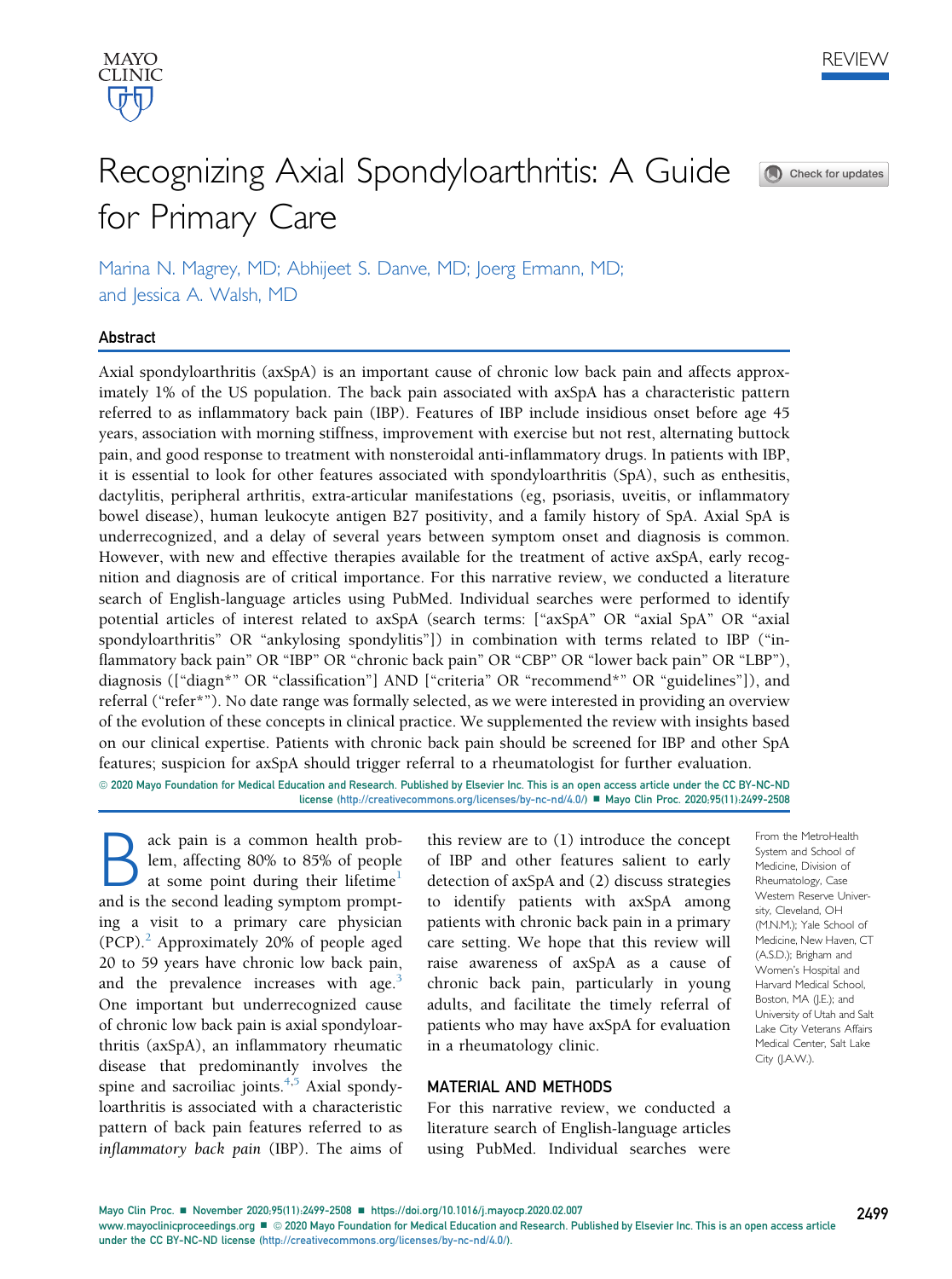



# Recognizing Axial Spondyloarthritis: A Guide for Primary Care

Marina N. Magrey, MD; Abhijeet S. Danve, MD; Joerg Ermann, MD; and Jessica A. Walsh, MD

## Abstract

Axial spondyloarthritis (axSpA) is an important cause of chronic low back pain and affects approximately 1% of the US population. The back pain associated with axSpA has a characteristic pattern referred to as inflammatory back pain (IBP). Features of IBP include insidious onset before age 45 years, association with morning stiffness, improvement with exercise but not rest, alternating buttock pain, and good response to treatment with nonsteroidal anti-inflammatory drugs. In patients with IBP, it is essential to look for other features associated with spondyloarthritis (SpA), such as enthesitis, dactylitis, peripheral arthritis, extra-articular manifestations (eg, psoriasis, uveitis, or inflammatory bowel disease), human leukocyte antigen B27 positivity, and a family history of SpA. Axial SpA is underrecognized, and a delay of several years between symptom onset and diagnosis is common. However, with new and effective therapies available for the treatment of active axSpA, early recognition and diagnosis are of critical importance. For this narrative review, we conducted a literature search of English-language articles using PubMed. Individual searches were performed to identify potential articles of interest related to axSpA (search terms: ["axSpA" OR "axial SpA" OR "axial spondyloarthritis" OR "ankylosing spondylitis"]) in combination with terms related to IBP ("inflammatory back pain" OR "IBP" OR "chronic back pain" OR "CBP" OR "lower back pain" OR "LBP"), diagnosis (["diagn\*" OR "classification"] AND ["criteria" OR "recommend\*" OR "guidelines"]), and referral ("refer\*"). No date range was formally selected, as we were interested in providing an overview of the evolution of these concepts in clinical practice. We supplemented the review with insights based on our clinical expertise. Patients with chronic back pain should be screened for IBP and other SpA features; suspicion for axSpA should trigger referral to a rheumatologist for further evaluation.

ª 2020 Mayo Foundation for Medical Education and Research. Published by Elsevier Inc. This is an open access article under the CC BY-NC-ND license ([http://creativecommons.org/licenses/by-nc-nd/4.0/\)](http://creativecommons.org/licenses/by-nc-nd/4.0/) Mayo Clin Proc. 2020;95(11):2499-2508

ack pain is a common health problem, affecting 80% to 85% of people at some point during their lifetime $\mathbf{r}^{\mathsf{T}}$ and is the second leading symptom prompting a visit to a primary care physician (PCP).[2](#page-7-1) Approximately 20% of people aged 20 to 59 years have chronic low back pain, and the prevalence increases with age.<sup>[3](#page-7-2)</sup> One important but underrecognized cause of chronic low back pain is axial spondyloarthritis (axSpA), an inflammatory rheumatic disease that predominantly involves the spine and sacroiliac joints. $4,5$  $4,5$  Axial spondyloarthritis is associated with a characteristic pattern of back pain features referred to as inflammatory back pain (IBP). The aims of this review are to (1) introduce the concept of IBP and other features salient to early detection of axSpA and (2) discuss strategies to identify patients with axSpA among patients with chronic back pain in a primary care setting. We hope that this review will raise awareness of axSpA as a cause of chronic back pain, particularly in young adults, and facilitate the timely referral of patients who may have axSpA for evaluation in a rheumatology clinic.

## MATERIAL AND METHODS

For this narrative review, we conducted a literature search of English-language articles using PubMed. Individual searches were

From the MetroHealth System and School of Medicine, Division of Rheumatology, Case Western Reserve University, Cleveland, OH (M.N.M.); Yale School of Medicine, New Haven, CT (A.S.D.); Brigham and Women's Hospital and Harvard Medical School, Boston, MA (J.E.); and University of Utah and Salt Lake City Veterans Affairs Medical Center, Salt Lake City (J.A.W.).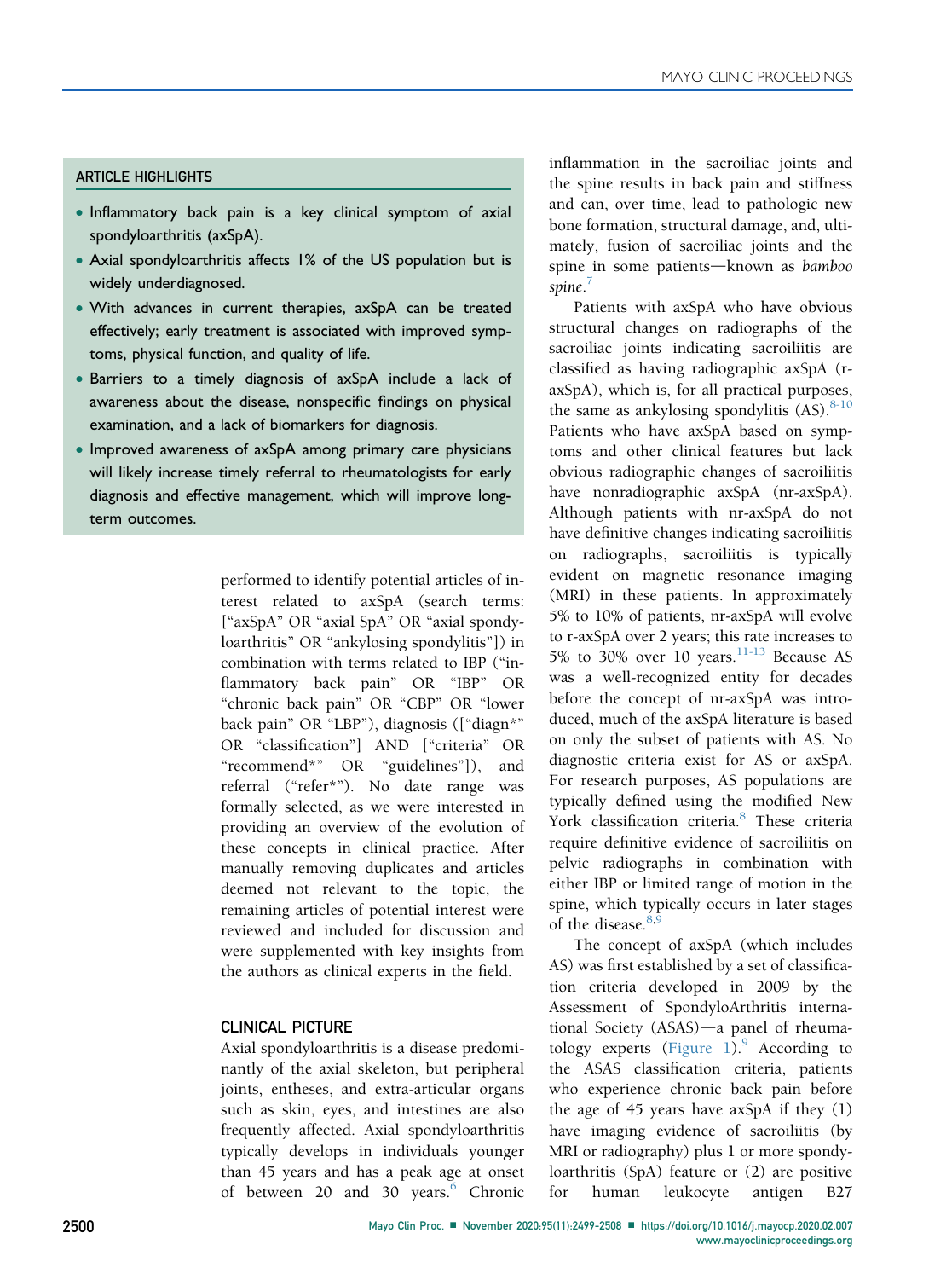## ARTICLE HIGHLIGHTS

- Inflammatory back pain is a key clinical symptom of axial spondyloarthritis (axSpA).
- Axial spondyloarthritis affects 1% of the US population but is widely underdiagnosed.
- With advances in current therapies, axSpA can be treated effectively; early treatment is associated with improved symptoms, physical function, and quality of life.
- Barriers to a timely diagnosis of axSpA include a lack of awareness about the disease, nonspecific findings on physical examination, and a lack of biomarkers for diagnosis.
- Improved awareness of axSpA among primary care physicians will likely increase timely referral to rheumatologists for early diagnosis and effective management, which will improve longterm outcomes.

performed to identify potential articles of interest related to axSpA (search terms: ["axSpA" OR "axial SpA" OR "axial spondyloarthritis" OR "ankylosing spondylitis"]) in combination with terms related to IBP ("inflammatory back pain" OR "IBP" OR "chronic back pain" OR "CBP" OR "lower back pain" OR "LBP"), diagnosis (["diagn\*" OR "classification"] AND ["criteria" OR "recommend\*" OR "guidelines"]), and referral ("refer\*"). No date range was formally selected, as we were interested in providing an overview of the evolution of these concepts in clinical practice. After manually removing duplicates and articles deemed not relevant to the topic, the remaining articles of potential interest were reviewed and included for discussion and were supplemented with key insights from the authors as clinical experts in the field.

## CLINICAL PICTURE

Axial spondyloarthritis is a disease predominantly of the axial skeleton, but peripheral joints, entheses, and extra-articular organs such as skin, eyes, and intestines are also frequently affected. Axial spondyloarthritis typically develops in individuals younger than 45 years and has a peak age at onset of between 20 and 30 years.<sup>[6](#page-7-5)</sup> Chronic inflammation in the sacroiliac joints and the spine results in back pain and stiffness and can, over time, lead to pathologic new bone formation, structural damage, and, ultimately, fusion of sacroiliac joints and the spine in some patients-known as bamboo spine. [7](#page-7-6)

Patients with axSpA who have obvious structural changes on radiographs of the sacroiliac joints indicating sacroiliitis are classified as having radiographic axSpA (raxSpA), which is, for all practical purposes, the same as ankylosing spondylitis  $(AS)$ .<sup>[8-10](#page-7-7)</sup> Patients who have axSpA based on symptoms and other clinical features but lack obvious radiographic changes of sacroiliitis have nonradiographic axSpA (nr-axSpA). Although patients with nr-axSpA do not have definitive changes indicating sacroiliitis on radiographs, sacroiliitis is typically evident on magnetic resonance imaging (MRI) in these patients. In approximately 5% to 10% of patients, nr-axSpA will evolve to r-axSpA over 2 years; this rate increases to 5% to 30% over 10 years. $11-13$  Because AS was a well-recognized entity for decades before the concept of nr-axSpA was introduced, much of the axSpA literature is based on only the subset of patients with AS. No diagnostic criteria exist for AS or axSpA. For research purposes, AS populations are typically defined using the modified New York classification criteria.<sup>[8](#page-7-7)</sup> These criteria require definitive evidence of sacroiliitis on pelvic radiographs in combination with either IBP or limited range of motion in the spine, which typically occurs in later stages of the disease.<sup>[8](#page-7-7)</sup>

The concept of axSpA (which includes AS) was first established by a set of classification criteria developed in 2009 by the Assessment of SpondyloArthritis international Society (ASAS)—a panel of rheuma-tology experts [\(Figure 1\)](#page-2-0). $\degree$  According to the ASAS classification criteria, patients who experience chronic back pain before the age of 45 years have axSpA if they (1) have imaging evidence of sacroiliitis (by MRI or radiography) plus 1 or more spondyloarthritis (SpA) feature or (2) are positive for human leukocyte antigen B27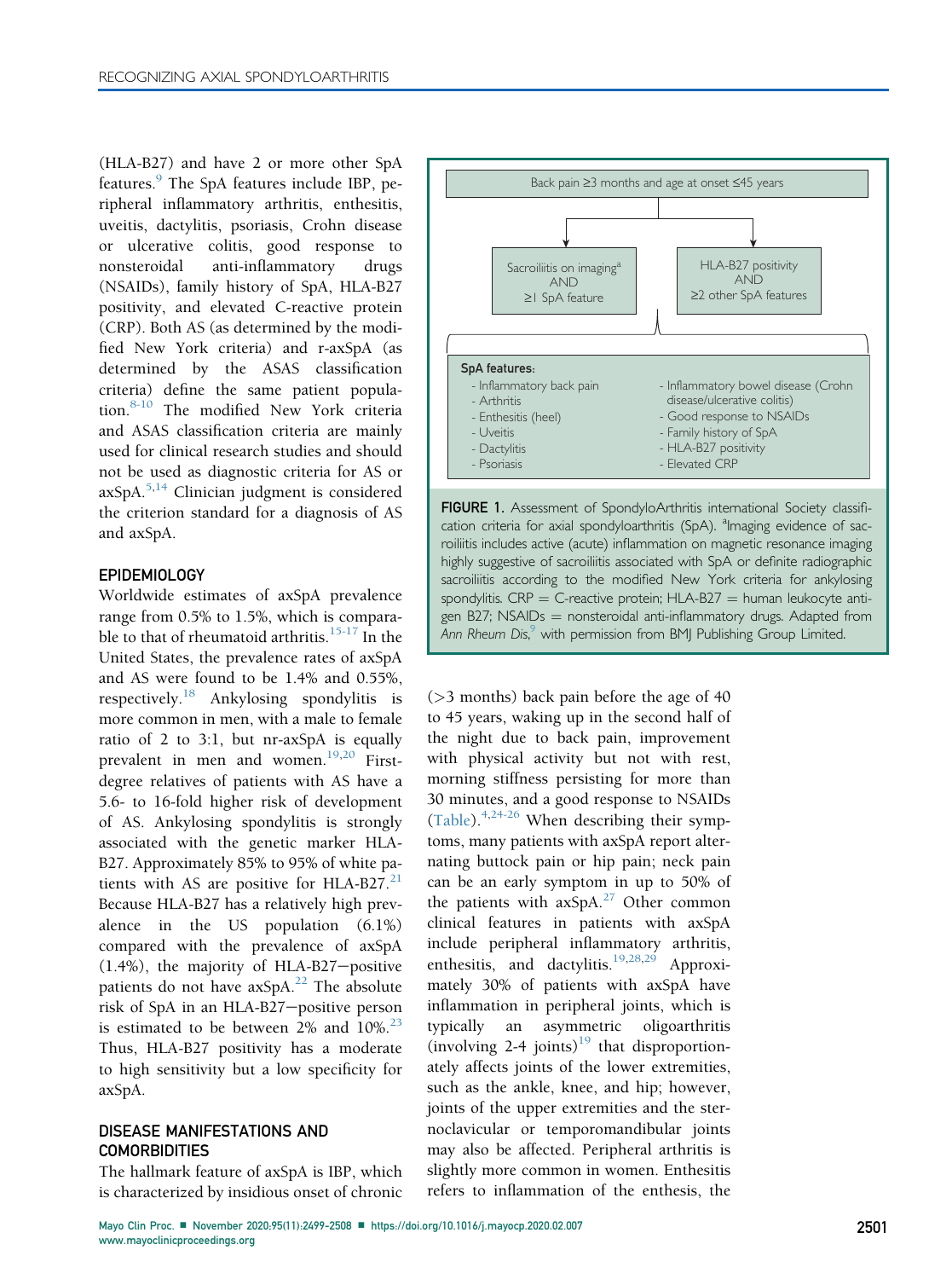(HLA-B27) and have 2 or more other SpA features.<sup>[9](#page-7-9)</sup> The SpA features include IBP, peripheral inflammatory arthritis, enthesitis, uveitis, dactylitis, psoriasis, Crohn disease or ulcerative colitis, good response to nonsteroidal anti-inflammatory drugs (NSAIDs), family history of SpA, HLA-B27 positivity, and elevated C-reactive protein (CRP). Both AS (as determined by the modified New York criteria) and r-axSpA (as determined by the ASAS classification criteria) define the same patient popula-tion.<sup>[8-10](#page-7-7)</sup> The modified New York criteria and ASAS classification criteria are mainly used for clinical research studies and should not be used as diagnostic criteria for AS or  $axSpA.<sup>5,14</sup>$  $axSpA.<sup>5,14</sup>$  $axSpA.<sup>5,14</sup>$  $axSpA.<sup>5,14</sup>$  Clinician judgment is considered the criterion standard for a diagnosis of AS and axSpA.

#### EPIDEMIOLOGY

Worldwide estimates of axSpA prevalence range from 0.5% to 1.5%, which is compara-ble to that of rheumatoid arthritis.<sup>[15-17](#page-7-11)</sup> In the United States, the prevalence rates of axSpA and AS were found to be 1.4% and 0.55%, respectively.[18](#page-8-0) Ankylosing spondylitis is more common in men, with a male to female ratio of 2 to 3:1, but nr-axSpA is equally prevalent in men and women.[19](#page-8-1)[,20](#page-8-2) Firstdegree relatives of patients with AS have a 5.6- to 16-fold higher risk of development of AS. Ankylosing spondylitis is strongly associated with the genetic marker HLA-B27. Approximately 85% to 95% of white patients with AS are positive for HLA-B27. $^{21}$  $^{21}$  $^{21}$ Because HLA-B27 has a relatively high prevalence in the US population (6.1%) compared with the prevalence of axSpA  $(1.4\%)$ , the majority of HLA-B27-positive patients do not have axSpA.<sup>[22](#page-8-4)</sup> The absolute risk of SpA in an HLA-B27-positive person is estimated to be between  $2\%$  and  $10\%$ .<sup>[23](#page-8-5)</sup> Thus, HLA-B27 positivity has a moderate to high sensitivity but a low specificity for axSpA.

## DISEASE MANIFESTATIONS AND **COMORBIDITIES**

The hallmark feature of axSpA is IBP, which is characterized by insidious onset of chronic

<span id="page-2-0"></span>

FIGURE 1. Assessment of SpondyloArthritis international Society classification criteria for axial spondyloarthritis (SpA). <sup>a</sup>lmaging evidence of sacroiliitis includes active (acute) inflammation on magnetic resonance imaging highly suggestive of sacroiliitis associated with SpA or definite radiographic sacroiliitis according to the modified New York criteria for ankylosing spondylitis.  $CRP = C$ -reactive protein; HLA-B27 = human leukocyte antigen B27; NSAIDs  $=$  nonsteroidal anti-inflammatory drugs. Adapted from Ann Rheum Dis,<sup>[9](#page-7-9)</sup> with permission from BMJ Publishing Group Limited.

(>3 months) back pain before the age of 40 to 45 years, waking up in the second half of the night due to back pain, improvement with physical activity but not with rest, morning stiffness persisting for more than 30 minutes, and a good response to NSAIDs [\(Table\)](#page-3-0).<sup>[4](#page-7-3),[24-26](#page-8-6)</sup> When describing their symptoms, many patients with axSpA report alternating buttock pain or hip pain; neck pain can be an early symptom in up to 50% of the patients with  $axSpA.<sup>27</sup>$  $axSpA.<sup>27</sup>$  $axSpA.<sup>27</sup>$  Other common clinical features in patients with axSpA include peripheral inflammatory arthritis, enthesitis, and dactylitis.<sup>[19](#page-8-1)[,28](#page-8-8),[29](#page-8-9)</sup> Approximately 30% of patients with axSpA have inflammation in peripheral joints, which is typically an asymmetric oligoarthritis  $(involving 2-4 joint s)^{19}$  that disproportionately affects joints of the lower extremities, such as the ankle, knee, and hip; however, joints of the upper extremities and the sternoclavicular or temporomandibular joints may also be affected. Peripheral arthritis is slightly more common in women. Enthesitis refers to inflammation of the enthesis, the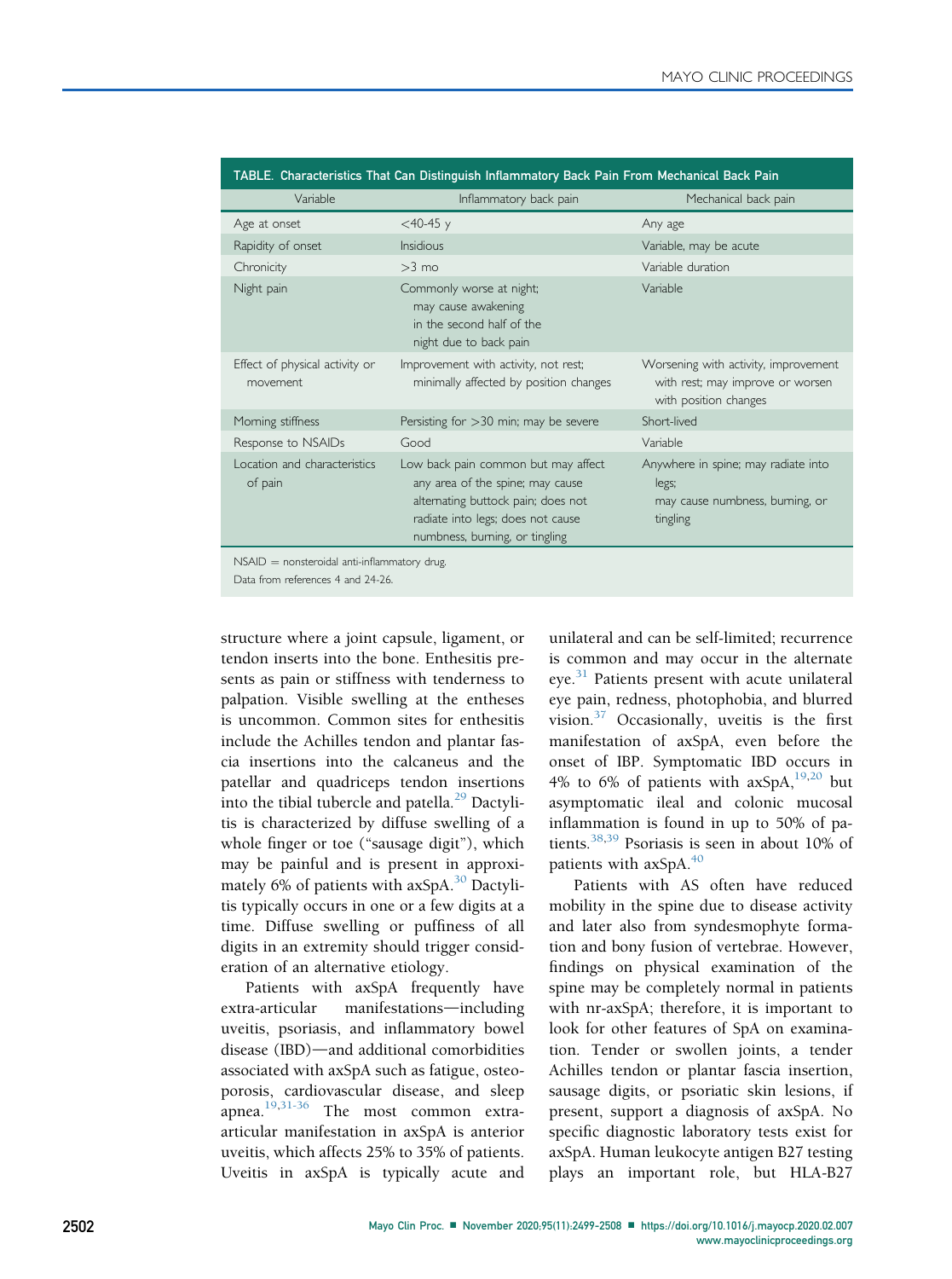| TADLL.  Unaracteristics That Carl Distinguish initialimiatury Dack Fairl From Mechanical Dack Fairl |                                                                                                                                                                                      |                                                                                                   |
|-----------------------------------------------------------------------------------------------------|--------------------------------------------------------------------------------------------------------------------------------------------------------------------------------------|---------------------------------------------------------------------------------------------------|
| Variable                                                                                            | Inflammatory back pain                                                                                                                                                               | Mechanical back pain                                                                              |
| Age at onset                                                                                        | $<$ 40-45 y                                                                                                                                                                          | Any age                                                                                           |
| Rapidity of onset                                                                                   | <b>Insidious</b>                                                                                                                                                                     | Variable, may be acute                                                                            |
| Chronicity                                                                                          | $>3$ mo                                                                                                                                                                              | Variable duration                                                                                 |
| Night pain                                                                                          | Commonly worse at night;<br>may cause awakening<br>in the second half of the<br>night due to back pain                                                                               | Variable                                                                                          |
| Effect of physical activity or<br>movement                                                          | Improvement with activity, not rest;<br>minimally affected by position changes                                                                                                       | Worsening with activity, improvement<br>with rest; may improve or worsen<br>with position changes |
| Morning stiffness                                                                                   | Persisting for $>30$ min; may be severe                                                                                                                                              | Short-lived                                                                                       |
| Response to NSAIDs                                                                                  | Good                                                                                                                                                                                 | Variable                                                                                          |
| Location and characteristics<br>of pain                                                             | Low back pain common but may affect<br>any area of the spine; may cause<br>alternating buttock pain; does not<br>radiate into legs; does not cause<br>numbness, burning, or tingling | Anywhere in spine; may radiate into<br>legs;<br>may cause numbness, burning, or<br>tingling       |
| $NSAID = nonsteroidal anti-inflammatory drug.$                                                      |                                                                                                                                                                                      |                                                                                                   |

#### <span id="page-3-0"></span>TABLE. Characteristics That Can Distinguish Inflammatory Back Pain From Mechanical Back Pain

Data from references 4 and 24-26.

structure where a joint capsule, ligament, or tendon inserts into the bone. Enthesitis presents as pain or stiffness with tenderness to palpation. Visible swelling at the entheses is uncommon. Common sites for enthesitis include the Achilles tendon and plantar fascia insertions into the calcaneus and the patellar and quadriceps tendon insertions into the tibial tubercle and patella.<sup>[29](#page-8-9)</sup> Dactylitis is characterized by diffuse swelling of a whole finger or toe ("sausage digit"), which may be painful and is present in approxi-mately 6% of patients with axSpA.<sup>[30](#page-8-10)</sup> Dactylitis typically occurs in one or a few digits at a time. Diffuse swelling or puffiness of all digits in an extremity should trigger consideration of an alternative etiology.

Patients with axSpA frequently have extra-articular manifestations-including uveitis, psoriasis, and inflammatory bowel disease (IBD)—and additional comorbidities associated with axSpA such as fatigue, osteoporosis, cardiovascular disease, and sleep apnea.[19,](#page-8-1)[31-36](#page-8-11) The most common extraarticular manifestation in axSpA is anterior uveitis, which affects 25% to 35% of patients. Uveitis in axSpA is typically acute and unilateral and can be self-limited; recurrence is common and may occur in the alternate eye.<sup>[31](#page-8-11)</sup> Patients present with acute unilateral eye pain, redness, photophobia, and blurred vision.[37](#page-8-12) Occasionally, uveitis is the first manifestation of axSpA, even before the onset of IBP. Symptomatic IBD occurs in 4% to 6% of patients with  $axSpA$ ,  $19,20$  $19,20$  but asymptomatic ileal and colonic mucosal inflammation is found in up to 50% of patients.[38](#page-8-13)[,39](#page-8-14) Psoriasis is seen in about 10% of patients with axSpA.[40](#page-8-15)

Patients with AS often have reduced mobility in the spine due to disease activity and later also from syndesmophyte formation and bony fusion of vertebrae. However, findings on physical examination of the spine may be completely normal in patients with nr-axSpA; therefore, it is important to look for other features of SpA on examination. Tender or swollen joints, a tender Achilles tendon or plantar fascia insertion, sausage digits, or psoriatic skin lesions, if present, support a diagnosis of axSpA. No specific diagnostic laboratory tests exist for axSpA. Human leukocyte antigen B27 testing plays an important role, but HLA-B27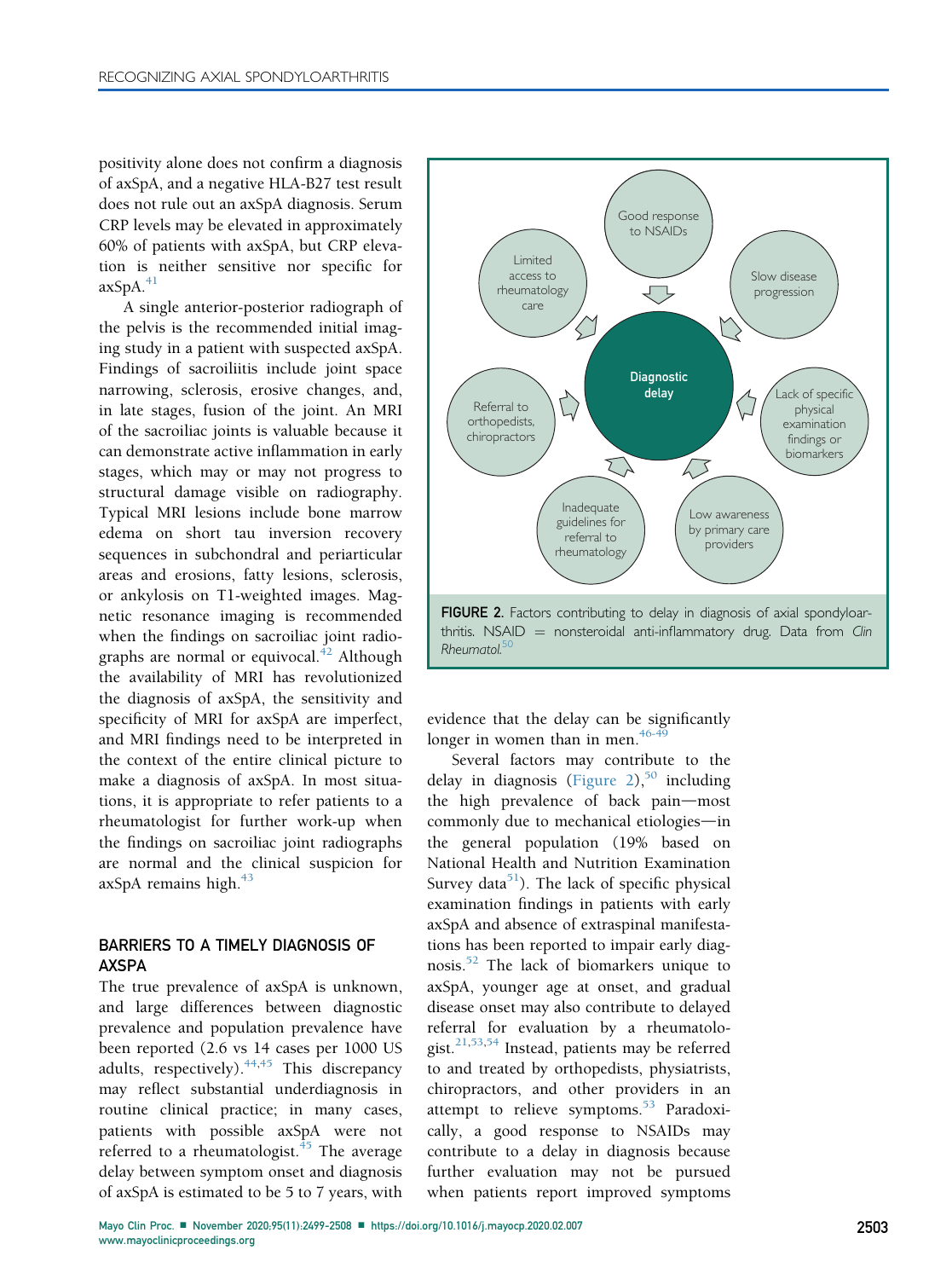positivity alone does not confirm a diagnosis of axSpA, and a negative HLA-B27 test result does not rule out an axSpA diagnosis. Serum CRP levels may be elevated in approximately 60% of patients with axSpA, but CRP elevation is neither sensitive nor specific for  $axSpA.<sup>41</sup>$  $axSpA.<sup>41</sup>$  $axSpA.<sup>41</sup>$ 

A single anterior-posterior radiograph of the pelvis is the recommended initial imaging study in a patient with suspected axSpA. Findings of sacroiliitis include joint space narrowing, sclerosis, erosive changes, and, in late stages, fusion of the joint. An MRI of the sacroiliac joints is valuable because it can demonstrate active inflammation in early stages, which may or may not progress to structural damage visible on radiography. Typical MRI lesions include bone marrow edema on short tau inversion recovery sequences in subchondral and periarticular areas and erosions, fatty lesions, sclerosis, or ankylosis on T1-weighted images. Magnetic resonance imaging is recommended when the findings on sacroiliac joint radiographs are normal or equivocal. $^{42}$  $^{42}$  $^{42}$  Although the availability of MRI has revolutionized the diagnosis of axSpA, the sensitivity and specificity of MRI for axSpA are imperfect, and MRI findings need to be interpreted in the context of the entire clinical picture to make a diagnosis of axSpA. In most situations, it is appropriate to refer patients to a rheumatologist for further work-up when the findings on sacroiliac joint radiographs are normal and the clinical suspicion for axSpA remains high. $43$ 

## BARRIERS TO A TIMELY DIAGNOSIS OF AXSPA

The true prevalence of axSpA is unknown, and large differences between diagnostic prevalence and population prevalence have been reported (2.6 vs 14 cases per 1000 US adults, respectively).  $44,45$  $44,45$  This discrepancy may reflect substantial underdiagnosis in routine clinical practice; in many cases, patients with possible axSpA were not referred to a rheumatologist. $45$  The average delay between symptom onset and diagnosis of axSpA is estimated to be 5 to 7 years, with

<span id="page-4-0"></span>

evidence that the delay can be significantly longer in women than in men. $46-49$ 

Several factors may contribute to the delay in diagnosis ([Figure 2\)](#page-4-0),<sup>[50](#page-8-22)</sup> including the high prevalence of back pain-most commonly due to mechanical etiologies-in the general population (19% based on National Health and Nutrition Examination Survey data<sup>[51](#page-8-23)</sup>). The lack of specific physical examination findings in patients with early axSpA and absence of extraspinal manifestations has been reported to impair early diag-nosis.<sup>[52](#page-8-24)</sup> The lack of biomarkers unique to axSpA, younger age at onset, and gradual disease onset may also contribute to delayed referral for evaluation by a rheumatologist. $21,53,54$  $21,53,54$  $21,53,54$  $21,53,54$  Instead, patients may be referred to and treated by orthopedists, physiatrists, chiropractors, and other providers in an attempt to relieve symptoms. $53$  Paradoxically, a good response to NSAIDs may contribute to a delay in diagnosis because further evaluation may not be pursued when patients report improved symptoms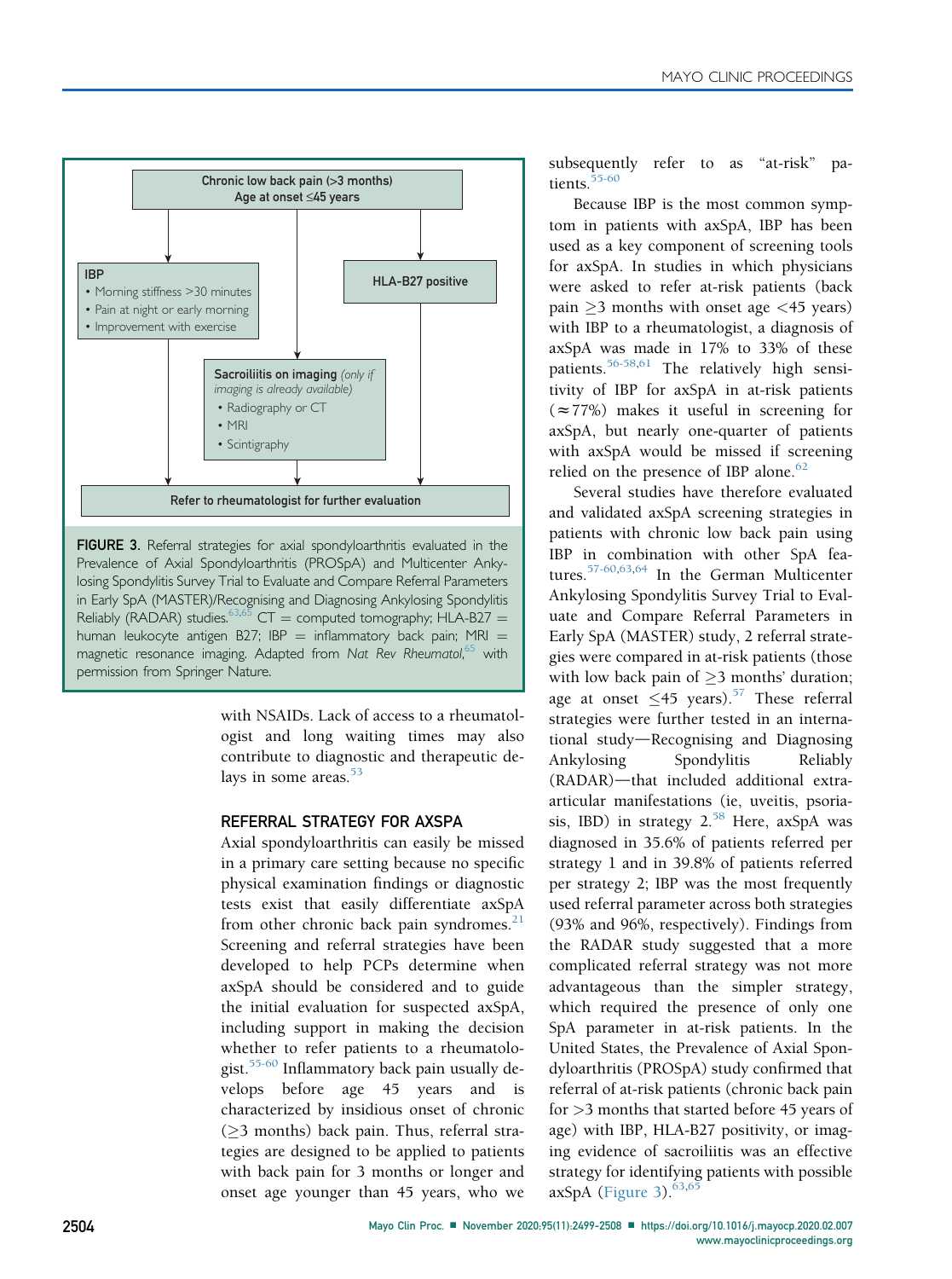<span id="page-5-0"></span>

FIGURE 3. Referral strategies for axial spondyloarthritis evaluated in the Prevalence of Axial Spondyloarthritis (PROSpA) and Multicenter Ankylosing Spondylitis Survey Trial to Evaluate and Compare Referral Parameters in Early SpA (MASTER)/Recognising and Diagnosing Ankylosing Spondylitis Reliably (RADAR) studies.<sup>[63](#page-9-2)[,65](#page-9-5)</sup> CT = computed tomography; HLA-B27 = human leukocyte antigen B27; IBP = inflammatory back pain; MRI = magnetic resonance imaging. Adapted from Nat Rev Rheumatol,<sup>[65](#page-9-5)</sup> with permission from Springer Nature.

with NSAIDs. Lack of access to a rheumatologist and long waiting times may also contribute to diagnostic and therapeutic delays in some areas. $53$ 

## REFERRAL STRATEGY FOR AXSPA

Axial spondyloarthritis can easily be missed in a primary care setting because no specific physical examination findings or diagnostic tests exist that easily differentiate axSpA from other chronic back pain syndromes. $21$ Screening and referral strategies have been developed to help PCPs determine when axSpA should be considered and to guide the initial evaluation for suspected axSpA, including support in making the decision whether to refer patients to a rheumatolo-gist.<sup>[55-60](#page-8-27)</sup> Inflammatory back pain usually develops before age 45 years and is characterized by insidious onset of chronic  $(\geq)$  months) back pain. Thus, referral strategies are designed to be applied to patients with back pain for 3 months or longer and onset age younger than 45 years, who we subsequently refer to as "at-risk" pa-tients.<sup>[55-60](#page-8-27)</sup>

Because IBP is the most common symptom in patients with axSpA, IBP has been used as a key component of screening tools for axSpA. In studies in which physicians were asked to refer at-risk patients (back pain  $\geq$ 3 months with onset age  $\lt$ 45 years) with IBP to a rheumatologist, a diagnosis of axSpA was made in 17% to 33% of these patients.<sup>[56-58,](#page-8-28)[61](#page-9-0)</sup> The relatively high sensitivity of IBP for axSpA in at-risk patients  $(\approx 77\%)$  makes it useful in screening for axSpA, but nearly one-quarter of patients with axSpA would be missed if screening relied on the presence of IBP alone. $62$ 

Several studies have therefore evaluated and validated axSpA screening strategies in patients with chronic low back pain using IBP in combination with other SpA features.[57-60](#page-8-29),[63,](#page-9-2)[64](#page-9-3) In the German Multicenter Ankylosing Spondylitis Survey Trial to Evaluate and Compare Referral Parameters in Early SpA (MASTER) study, 2 referral strategies were compared in at-risk patients (those with low back pain of  $\geq$ 3 months' duration; age at onset  $\leq 45$  years).<sup>[57](#page-8-29)</sup> These referral strategies were further tested in an international study-Recognising and Diagnosing Ankylosing Spondylitis Reliably  $(RADAR)$ —that included additional extraarticular manifestations (ie, uveitis, psoriasis, IBD) in strategy  $2^{58}$  $2^{58}$  $2^{58}$  Here, axSpA was diagnosed in 35.6% of patients referred per strategy 1 and in 39.8% of patients referred per strategy 2; IBP was the most frequently used referral parameter across both strategies (93% and 96%, respectively). Findings from the RADAR study suggested that a more complicated referral strategy was not more advantageous than the simpler strategy, which required the presence of only one SpA parameter in at-risk patients. In the United States, the Prevalence of Axial Spondyloarthritis (PROSpA) study confirmed that referral of at-risk patients (chronic back pain for >3 months that started before 45 years of age) with IBP, HLA-B27 positivity, or imaging evidence of sacroiliitis was an effective strategy for identifying patients with possible axSpA [\(Figure 3\)](#page-5-0). $63,65$  $63,65$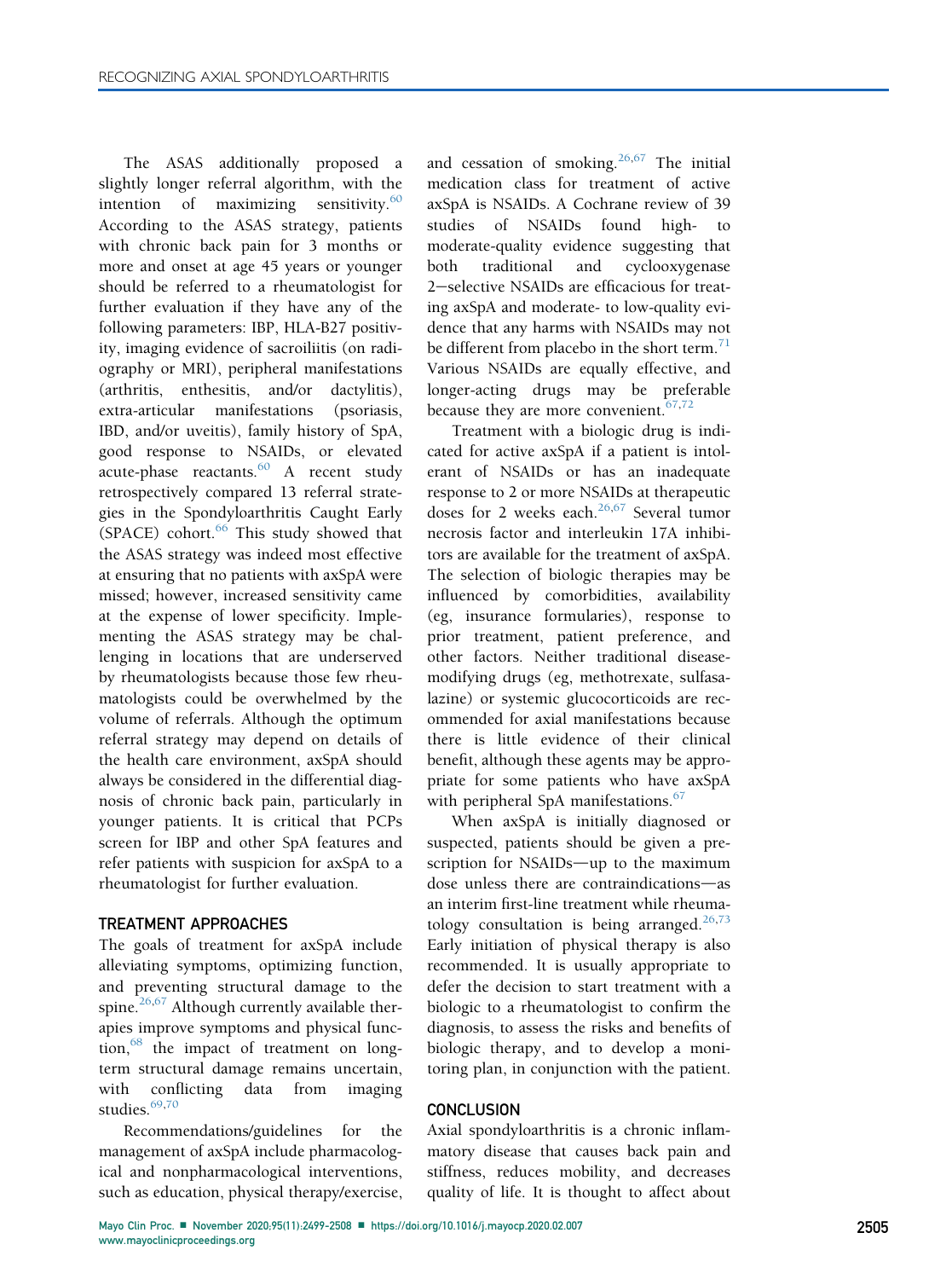The ASAS additionally proposed a slightly longer referral algorithm, with the intention of maximizing sensitivity.<sup>[60](#page-9-6)</sup> According to the ASAS strategy, patients with chronic back pain for 3 months or more and onset at age 45 years or younger should be referred to a rheumatologist for further evaluation if they have any of the following parameters: IBP, HLA-B27 positivity, imaging evidence of sacroiliitis (on radiography or MRI), peripheral manifestations (arthritis, enthesitis, and/or dactylitis), extra-articular manifestations (psoriasis, IBD, and/or uveitis), family history of SpA, good response to NSAIDs, or elevated acute-phase reactants. $60$  A recent study retrospectively compared 13 referral strategies in the Spondyloarthritis Caught Early (SPACE) cohort. $66$  This study showed that the ASAS strategy was indeed most effective at ensuring that no patients with axSpA were missed; however, increased sensitivity came at the expense of lower specificity. Implementing the ASAS strategy may be challenging in locations that are underserved by rheumatologists because those few rheumatologists could be overwhelmed by the volume of referrals. Although the optimum referral strategy may depend on details of the health care environment, axSpA should always be considered in the differential diagnosis of chronic back pain, particularly in younger patients. It is critical that PCPs screen for IBP and other SpA features and refer patients with suspicion for axSpA to a rheumatologist for further evaluation.

## TREATMENT APPROACHES

The goals of treatment for axSpA include alleviating symptoms, optimizing function, and preventing structural damage to the spine.<sup>[26](#page-8-30)[,67](#page-9-8)</sup> Although currently available therapies improve symptoms and physical function,[68](#page-9-9) the impact of treatment on longterm structural damage remains uncertain, with conflicting data from imaging studies.<sup>[69](#page-9-10)[,70](#page-9-11)</sup>

Recommendations/guidelines for the management of axSpA include pharmacological and nonpharmacological interventions, such as education, physical therapy/exercise,

and cessation of smoking.<sup>[26,](#page-8-30)[67](#page-9-8)</sup> The initial medication class for treatment of active axSpA is NSAIDs. A Cochrane review of 39 studies of NSAIDs found high- to moderate-quality evidence suggesting that both traditional and cyclooxygenase 2-selective NSAIDs are efficacious for treating axSpA and moderate- to low-quality evidence that any harms with NSAIDs may not be different from placebo in the short term. $<sup>71</sup>$  $<sup>71</sup>$  $<sup>71</sup>$ </sup> Various NSAIDs are equally effective, and longer-acting drugs may be preferable because they are more convenient. $67,72$  $67,72$ 

Treatment with a biologic drug is indicated for active axSpA if a patient is intolerant of NSAIDs or has an inadequate response to 2 or more NSAIDs at therapeutic doses for 2 weeks each. $26,67$  $26,67$  Several tumor necrosis factor and interleukin 17A inhibitors are available for the treatment of axSpA. The selection of biologic therapies may be influenced by comorbidities, availability (eg, insurance formularies), response to prior treatment, patient preference, and other factors. Neither traditional diseasemodifying drugs (eg, methotrexate, sulfasalazine) or systemic glucocorticoids are recommended for axial manifestations because there is little evidence of their clinical benefit, although these agents may be appropriate for some patients who have axSpA with peripheral SpA manifestations.<sup>[67](#page-9-8)</sup>

When axSpA is initially diagnosed or suspected, patients should be given a prescription for NSAIDs-up to the maximum dose unless there are contraindications-as an interim first-line treatment while rheuma-tology consultation is being arranged.<sup>[26,](#page-8-30)[73](#page-9-14)</sup> Early initiation of physical therapy is also recommended. It is usually appropriate to defer the decision to start treatment with a biologic to a rheumatologist to confirm the diagnosis, to assess the risks and benefits of biologic therapy, and to develop a monitoring plan, in conjunction with the patient.

## **CONCLUSION**

Axial spondyloarthritis is a chronic inflammatory disease that causes back pain and stiffness, reduces mobility, and decreases quality of life. It is thought to affect about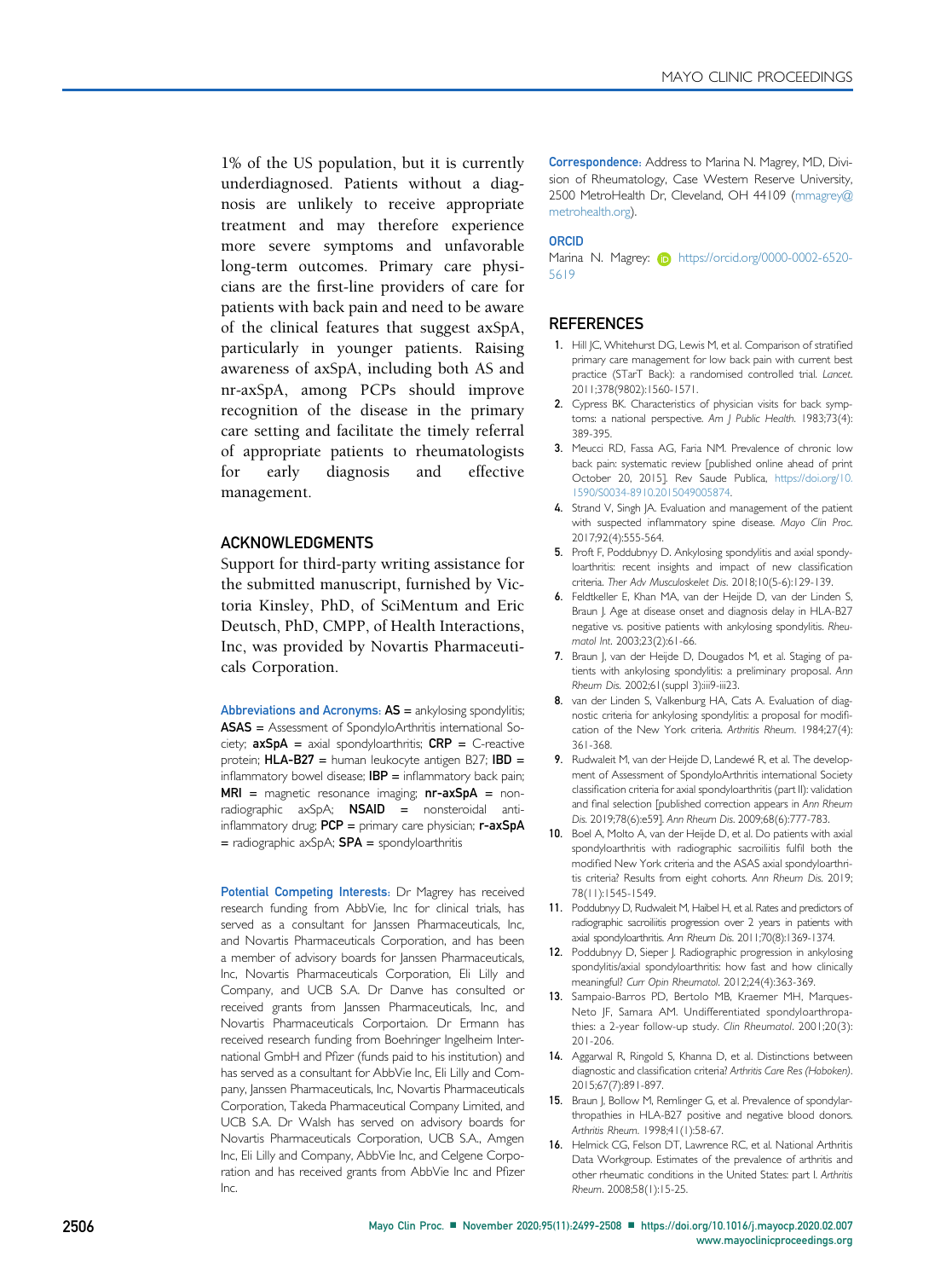1% of the US population, but it is currently underdiagnosed. Patients without a diagnosis are unlikely to receive appropriate treatment and may therefore experience more severe symptoms and unfavorable long-term outcomes. Primary care physicians are the first-line providers of care for patients with back pain and need to be aware of the clinical features that suggest axSpA, particularly in younger patients. Raising awareness of axSpA, including both AS and nr-axSpA, among PCPs should improve recognition of the disease in the primary care setting and facilitate the timely referral of appropriate patients to rheumatologists for early diagnosis and effective management.

## ACKNOWLEDGMENTS

Support for third-party writing assistance for the submitted manuscript, furnished by Victoria Kinsley, PhD, of SciMentum and Eric Deutsch, PhD, CMPP, of Health Interactions, Inc, was provided by Novartis Pharmaceuticals Corporation.

Abbreviations and Acronyms:  $AS$  = ankylosing spondylitis; ASAS = Assessment of SpondyloArthritis international Society; axSpA = axial spondyloarthritis; CRP = C-reactive protein;  $HLA-B27$  = human leukocyte antigen B27; IBD = inflammatory bowel disease;  $IBP =$  inflammatory back pain;  $MRI =$  magnetic resonance imaging;  $nr-axSpA =$  nonradiographic axSpA; NSAID = nonsteroidal antiinflammatory drug;  $PCP =$  primary care physician;  $r$ -axSpA  $=$  radiographic axSpA; **SPA** = spondyloarthritis

Potential Competing Interests: Dr Magrey has received research funding from AbbVie, Inc for clinical trials, has served as a consultant for Janssen Pharmaceuticals, Inc, and Novartis Pharmaceuticals Corporation, and has been a member of advisory boards for Janssen Pharmaceuticals, Inc, Novartis Pharmaceuticals Corporation, Eli Lilly and Company, and UCB S.A. Dr Danve has consulted or received grants from Janssen Pharmaceuticals, Inc, and Novartis Pharmaceuticals Corportaion. Dr Ermann has received research funding from Boehringer Ingelheim International GmbH and Pfizer (funds paid to his institution) and has served as a consultant for AbbVie Inc, Eli Lilly and Company, Janssen Pharmaceuticals, Inc, Novartis Pharmaceuticals Corporation, Takeda Pharmaceutical Company Limited, and UCB S.A. Dr Walsh has served on advisory boards for Novartis Pharmaceuticals Corporation, UCB S.A., Amgen Inc, Eli Lilly and Company, AbbVie Inc, and Celgene Corporation and has received grants from AbbVie Inc and Pfizer Inc.

Correspondence: Address to Marina N. Magrey, MD, Division of Rheumatology, Case Western Reserve University, 2500 MetroHealth Dr, Cleveland, OH 44109 [\(mmagrey@](mailto:mmagrey@metrohealth.org) [metrohealth.org\)](mailto:mmagrey@metrohealth.org).

#### ORCID

Marina N. Magrey: **iD** [https://orcid.org/0000-0002-6520-](https://orcid.org/0000-0002-6520-5619) [5619](https://orcid.org/0000-0002-6520-5619)

#### REFERENCES

- <span id="page-7-0"></span>1. Hill JC, Whitehurst DG, Lewis M, et al. Comparison of stratified primary care management for low back pain with current best practice (STarT Back): a randomised controlled trial. Lancet. 2011;378(9802):1560-1571.
- <span id="page-7-1"></span>2. Cypress BK. Characteristics of physician visits for back symptoms: a national perspective. Am J Public Health. 1983;73(4): 389-395.
- <span id="page-7-2"></span>3. Meucci RD, Fassa AG, Faria NM. Prevalence of chronic low back pain: systematic review [published online ahead of print October 20, 2015]. Rev Saude Publica, [https://doi.org/10.](https://doi.org/10.1590/S0034-8910.2015049005874) [1590/S0034-8910.2015049005874](https://doi.org/10.1590/S0034-8910.2015049005874).
- <span id="page-7-3"></span>4. Strand V, Singh JA. Evaluation and management of the patient with suspected inflammatory spine disease. Mayo Clin Proc. 2017;92(4):555-564.
- <span id="page-7-4"></span>5. Proft F, Poddubnyy D. Ankylosing spondylitis and axial spondyloarthritis: recent insights and impact of new classification criteria. Ther Adv Musculoskelet Dis. 2018;10(5-6):129-139.
- <span id="page-7-5"></span>6. Feldtkeller E, Khan MA, van der Heijde D, van der Linden S, Braun J. Age at disease onset and diagnosis delay in HLA-B27 negative vs. positive patients with ankylosing spondylitis. Rheumatol Int. 2003;23(2):61-66.
- <span id="page-7-6"></span>7. Braun J, van der Heijde D, Dougados M, et al. Staging of patients with ankylosing spondylitis: a preliminary proposal. Ann Rheum Dis. 2002;61(suppl 3):iii9-iii23.
- <span id="page-7-7"></span>8. van der Linden S, Valkenburg HA, Cats A. Evaluation of diagnostic criteria for ankylosing spondylitis: a proposal for modification of the New York criteria. Arthritis Rheum. 1984;27(4): 361-368.
- <span id="page-7-9"></span>9. Rudwaleit M, van der Heijde D, Landewé R, et al. The development of Assessment of SpondyloArthritis international Society classification criteria for axial spondyloarthritis (part II): validation and final selection [published correction appears in Ann Rheum Dis. 2019;78(6):e59]. Ann Rheum Dis. 2009;68(6):777-783.
- 10. Boel A, Molto A, van der Heijde D, et al. Do patients with axial spondyloarthritis with radiographic sacroiliitis fulfil both the modified New York criteria and the ASAS axial spondyloarthritis criteria? Results from eight cohorts. Ann Rheum Dis. 2019; 78(11):1545-1549.
- <span id="page-7-8"></span>11. Poddubnyy D, Rudwaleit M, Haibel H, et al. Rates and predictors of radiographic sacroiliitis progression over 2 years in patients with axial spondyloarthritis. Ann Rheum Dis. 2011;70(8):1369-1374.
- 12. Poddubnyy D, Sieper J. Radiographic progression in ankylosing spondylitis/axial spondyloarthritis: how fast and how clinically meaningful? Curr Opin Rheumatol. 2012;24(4):363-369.
- 13. Sampaio-Barros PD, Bertolo MB, Kraemer MH, Marques-Neto JF, Samara AM. Undifferentiated spondyloarthropathies: a 2-year follow-up study. Clin Rheumatol. 2001;20(3): 201-206.
- <span id="page-7-10"></span>14. Aggarwal R, Ringold S, Khanna D, et al. Distinctions between diagnostic and classification criteria? Arthritis Care Res (Hoboken). 2015;67(7):891-897.
- <span id="page-7-11"></span>15. Braun J, Bollow M, Remlinger G, et al. Prevalence of spondylarthropathies in HLA-B27 positive and negative blood donors. Arthritis Rheum. 1998;41(1):58-67.
- 16. Helmick CG, Felson DT, Lawrence RC, et al. National Arthritis Data Workgroup. Estimates of the prevalence of arthritis and other rheumatic conditions in the United States: part I. Arthritis Rheum. 2008;58(1):15-25.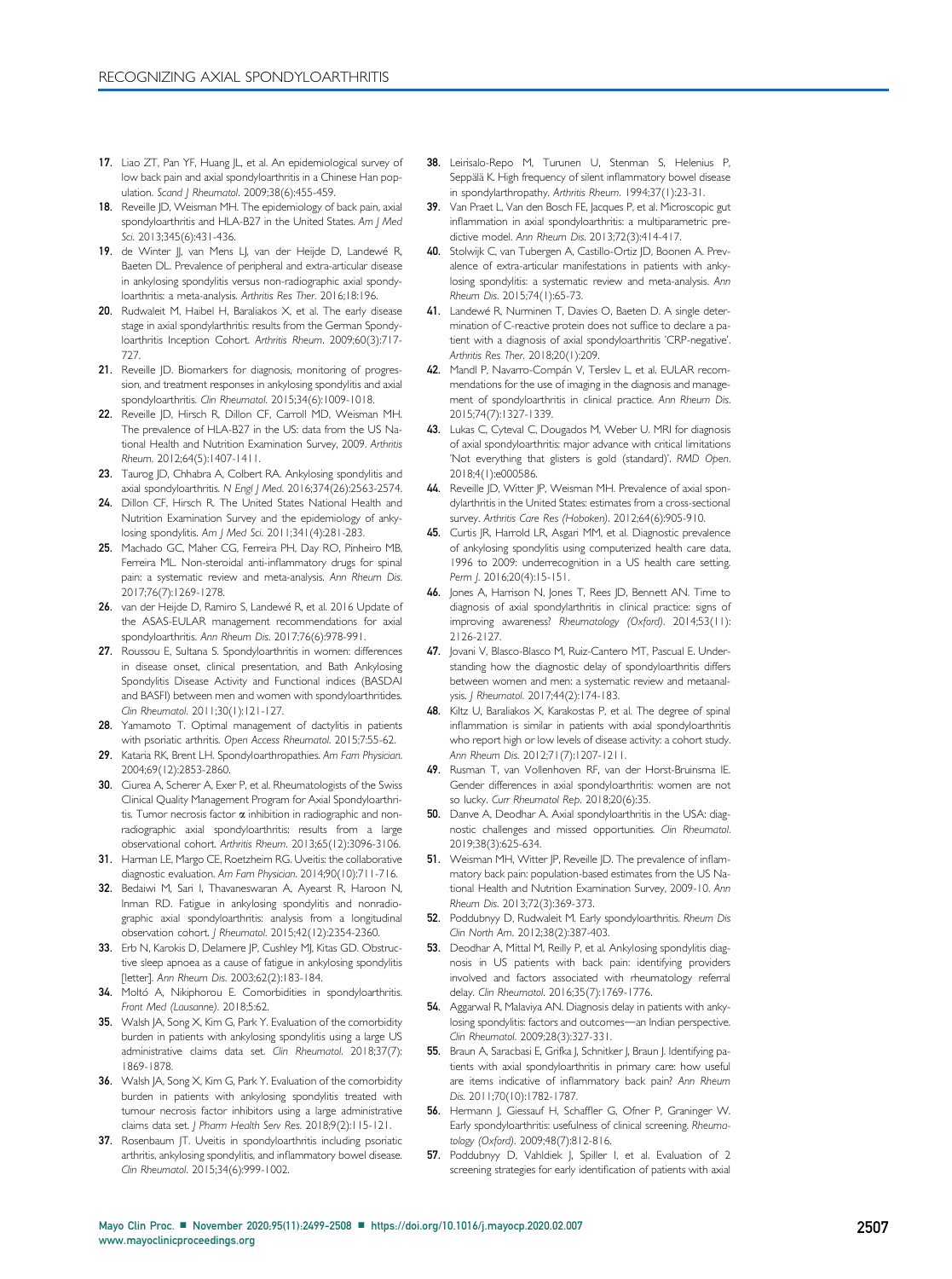- 17. Liao ZT, Pan YF, Huang |L, et al. An epidemiological survey of low back pain and axial spondyloarthritis in a Chinese Han population. Scand J Rheumatol. 2009;38(6):455-459.
- <span id="page-8-0"></span>18. Reveille JD, Weisman MH. The epidemiology of back pain, axial spondyloarthritis and HLA-B27 in the United States. Am J Med Sci. 2013;345(6):431-436.
- <span id="page-8-1"></span>19. de Winter JJ, van Mens LJ, van der Heijde D, Landewé R, Baeten DL. Prevalence of peripheral and extra-articular disease in ankylosing spondylitis versus non-radiographic axial spondyloarthritis: a meta-analysis. Arthritis Res Ther. 2016;18:196.
- <span id="page-8-2"></span>20. Rudwaleit M, Haibel H, Baraliakos X, et al. The early disease stage in axial spondylarthritis: results from the German Spondyloarthritis Inception Cohort. Arthritis Rheum. 2009;60(3):717- 727.
- <span id="page-8-3"></span>21. Reveille JD. Biomarkers for diagnosis, monitoring of progression, and treatment responses in ankylosing spondylitis and axial spondyloarthritis. Clin Rheumatol. 2015;34(6):1009-1018.
- <span id="page-8-4"></span>22. Reveille JD, Hirsch R, Dillon CF, Carroll MD, Weisman MH. The prevalence of HLA-B27 in the US: data from the US National Health and Nutrition Examination Survey, 2009. Arthritis Rheum. 2012;64(5):1407-1411.
- <span id="page-8-5"></span>23. Taurog JD, Chhabra A, Colbert RA. Ankylosing spondylitis and axial spondyloarthritis. N Engl J Med. 2016;374(26):2563-2574.
- <span id="page-8-6"></span>24. Dillon CF, Hirsch R. The United States National Health and Nutrition Examination Survey and the epidemiology of ankylosing spondylitis. Am J Med Sci. 2011;341(4):281-283.
- 25. Machado GC, Maher CG, Ferreira PH, Day RO, Pinheiro MB, Ferreira ML. Non-steroidal anti-inflammatory drugs for spinal pain: a systematic review and meta-analysis. Ann Rheum Dis. 2017;76(7):1269-1278.
- <span id="page-8-30"></span>26. van der Heijde D, Ramiro S, Landewé R, et al. 2016 Update of the ASAS-EULAR management recommendations for axial spondyloarthritis. Ann Rheum Dis. 2017;76(6):978-991.
- <span id="page-8-7"></span>27. Roussou E, Sultana S. Spondyloarthritis in women: differences in disease onset, clinical presentation, and Bath Ankylosing Spondylitis Disease Activity and Functional indices (BASDAI and BASFI) between men and women with spondyloarthritides. Clin Rheumatol. 2011;30(1):121-127.
- <span id="page-8-8"></span>28. Yamamoto T. Optimal management of dactylitis in patients with psoriatic arthritis. Open Access Rheumatol. 2015;7:55-62.
- <span id="page-8-9"></span>29. Kataria RK, Brent LH. Spondyloarthropathies. Am Fam Physician. 2004;69(12):2853-2860.
- <span id="page-8-10"></span>30. Ciurea A, Scherer A, Exer P, et al. Rheumatologists of the Swiss Clinical Quality Management Program for Axial Spondyloarthritis. Tumor necrosis factor  $\alpha$  inhibition in radiographic and nonradiographic axial spondyloarthritis: results from a large observational cohort. Arthritis Rheum. 2013;65(12):3096-3106.
- <span id="page-8-11"></span>31. Harman LE, Margo CE, Roetzheim RG. Uveitis: the collaborative diagnostic evaluation. Am Fam Physician. 2014;90(10):711-716.
- 32. Bedaiwi M, Sari I, Thavaneswaran A, Ayearst R, Haroon N, Inman RD. Fatigue in ankylosing spondylitis and nonradiographic axial spondyloarthritis: analysis from a longitudinal observation cohort. J Rheumatol. 2015;42(12):2354-2360.
- 33. Erb N, Karokis D, Delamere JP, Cushley MJ, Kitas GD. Obstructive sleep apnoea as a cause of fatigue in ankylosing spondylitis [letter]. Ann Rheum Dis. 2003;62(2):183-184.
- 34. Moltó A, Nikiphorou E. Comorbidities in spondyloarthritis. Front Med (Lausanne). 2018;5:62.
- 35. Walsh JA, Song X, Kim G, Park Y. Evaluation of the comorbidity burden in patients with ankylosing spondylitis using a large US administrative claims data set. Clin Rheumatol. 2018;37(7): 1869-1878.
- 36. Walsh JA, Song X, Kim G, Park Y. Evaluation of the comorbidity burden in patients with ankylosing spondylitis treated with tumour necrosis factor inhibitors using a large administrative claims data set. J Pharm Health Serv Res. 2018;9(2):115-121.
- <span id="page-8-12"></span>37. Rosenbaum JT. Uveitis in spondyloarthritis including psoriatic arthritis, ankylosing spondylitis, and inflammatory bowel disease. Clin Rheumatol. 2015;34(6):999-1002.
- <span id="page-8-13"></span>38. Leirisalo-Repo M, Turunen U, Stenman S, Helenius P, Seppälä K. High frequency of silent inflammatory bowel disease in spondylarthropathy. Arthritis Rheum. 1994;37(1):23-31.
- <span id="page-8-14"></span>39. Van Praet L, Van den Bosch FE, Jacques P, et al. Microscopic gut inflammation in axial spondyloarthritis: a multiparametric predictive model. Ann Rheum Dis. 2013;72(3):414-417.
- <span id="page-8-15"></span>40. Stolwijk C, van Tubergen A, Castillo-Ortiz JD, Boonen A. Prevalence of extra-articular manifestations in patients with ankylosing spondylitis: a systematic review and meta-analysis. Ann Rheum Dis. 2015;74(1):65-73.
- <span id="page-8-16"></span>41. Landewé R, Nurminen T, Davies O, Baeten D. A single determination of C-reactive protein does not suffice to declare a patient with a diagnosis of axial spondyloarthritis 'CRP-negative'. Arthritis Res Ther. 2018;20(1):209.
- <span id="page-8-17"></span>42. Mandl P, Navarro-Compán V, Terslev L, et al. EULAR recommendations for the use of imaging in the diagnosis and management of spondyloarthritis in clinical practice. Ann Rheum Dis. 2015;74(7):1327-1339.
- <span id="page-8-18"></span>43. Lukas C, Cyteval C, Dougados M, Weber U. MRI for diagnosis of axial spondyloarthritis: major advance with critical limitations 'Not everything that glisters is gold (standard)'. RMD Open. 2018;4(1):e000586.
- <span id="page-8-19"></span>44. Reveille JD, Witter JP, Weisman MH. Prevalence of axial spondylarthritis in the United States: estimates from a cross-sectional survey. Arthritis Care Res (Hoboken). 2012;64(6):905-910.
- <span id="page-8-20"></span>45. Curtis JR, Harrold LR, Asgari MM, et al. Diagnostic prevalence of ankylosing spondylitis using computerized health care data, 1996 to 2009: underrecognition in a US health care setting. Perm | 2016;20(4):15-151.
- <span id="page-8-21"></span>46. Jones A, Harrison N, Jones T, Rees JD, Bennett AN. Time to diagnosis of axial spondylarthritis in clinical practice: signs of improving awareness? Rheumatology (Oxford). 2014;53(11): 2126-2127.
- 47. Jovani V, Blasco-Blasco M, Ruiz-Cantero MT, Pascual E. Understanding how the diagnostic delay of spondyloarthritis differs between women and men: a systematic review and metaanalysis. J Rheumatol. 2017;44(2):174-183.
- 48. Kiltz U, Baraliakos X, Karakostas P, et al. The degree of spinal inflammation is similar in patients with axial spondyloarthritis who report high or low levels of disease activity: a cohort study. Ann Rheum Dis. 2012;71(7):1207-1211.
- 49. Rusman T, van Vollenhoven RF, van der Horst-Bruinsma IE. Gender differences in axial spondyloarthritis: women are not so lucky. Curr Rheumatol Rep. 2018;20(6):35.
- <span id="page-8-22"></span>50. Danve A, Deodhar A. Axial spondyloarthritis in the USA: diagnostic challenges and missed opportunities. Clin Rheumatol. 2019;38(3):625-634.
- <span id="page-8-23"></span>51. Weisman MH, Witter JP, Reveille JD. The prevalence of inflammatory back pain: population-based estimates from the US National Health and Nutrition Examination Survey, 2009-10. Ann Rheum Dis. 2013;72(3):369-373.
- <span id="page-8-24"></span>52. Poddubnyy D, Rudwaleit M. Early spondyloarthritis. Rheum Dis Clin North Am. 2012;38(2):387-403.
- <span id="page-8-25"></span>53. Deodhar A, Mittal M, Reilly P, et al. Ankylosing spondylitis diagnosis in US patients with back pain: identifying providers involved and factors associated with rheumatology referral delay. Clin Rheumatol. 2016;35(7):1769-1776.
- <span id="page-8-26"></span>54. Aggarwal R, Malaviya AN. Diagnosis delay in patients with ankylosing spondylitis: factors and outcomes-an Indian perspective. Clin Rheumatol. 2009;28(3):327-331.
- <span id="page-8-27"></span>55. Braun A, Saracbasi E, Grifka J, Schnitker J, Braun J. Identifying patients with axial spondyloarthritis in primary care: how useful are items indicative of inflammatory back pain? Ann Rheum Dis. 2011;70(10):1782-1787.
- <span id="page-8-28"></span>56. Hermann J, Giessauf H, Schaffler G, Ofner P, Graninger W. Early spondyloarthritis: usefulness of clinical screening. Rheumatology (Oxford). 2009;48(7):812-816.
- <span id="page-8-29"></span>57. Poddubnyy D, Vahldiek J, Spiller I, et al. Evaluation of 2 screening strategies for early identification of patients with axial